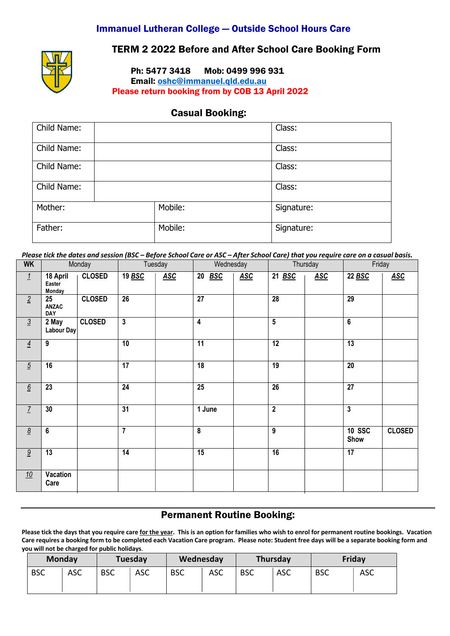### Immanuel Lutheran College — Outside School Hours Care



## TERM 2 2022 Before and After School Care Booking Form

Ph: 5477 3418 Mob: 0499 996 931

Email: oshc@immanuel.qld.edu.au Please return booking from by COB 13 April 2022

### Casual Booking:

| Child Name: |         | Class:     |
|-------------|---------|------------|
| Child Name: |         | Class:     |
| Child Name: |         | Class:     |
| Child Name: |         | Class:     |
| Mother:     | Mobile: | Signature: |
| Father:     | Mobile: | Signature: |

*Please tick the dates and session (BSC – Before School Care or ASC – After School Care) that you require care on a casual basis.*

| <b>WK</b>       |                              | Monday        |                         | Tuesday    |                         | Wednesday  |                         | Thursday   |                       | Friday        |
|-----------------|------------------------------|---------------|-------------------------|------------|-------------------------|------------|-------------------------|------------|-----------------------|---------------|
| $\frac{1}{2}$   | 18 April<br>Easter<br>Monday | <b>CLOSED</b> | 19 BSC                  | <b>ASC</b> | 20 BSC                  | <b>ASC</b> | 21 BSC                  | <b>ASC</b> | 22 BSC                | <b>ASC</b>    |
| $\overline{2}$  | 25<br>ANZAC<br>DAY           | <b>CLOSED</b> | $\overline{26}$         |            | $\overline{27}$         |            | 28                      |            | 29                    |               |
| $\overline{3}$  | 2 May<br>Labour Day          | <b>CLOSED</b> | $\overline{\mathbf{3}}$ |            | $\overline{\mathbf{4}}$ |            | $5\overline{)}$         |            | $\bf 6$               |               |
| $\overline{4}$  | $\boldsymbol{9}$             |               | $\overline{10}$         |            | $\overline{11}$         |            | $\overline{12}$         |            | $\overline{13}$       |               |
| $\overline{5}$  | 16                           |               | $\overline{17}$         |            | $\overline{18}$         |            | 19                      |            | $\overline{20}$       |               |
| $6\overline{6}$ | 23                           |               | 24                      |            | $\overline{25}$         |            | 26                      |            | $\overline{27}$       |               |
| $\overline{1}$  | 30                           |               | 31                      |            | 1 June                  |            | $\overline{\mathbf{2}}$ |            | $\mathbf{3}$          |               |
| $\underline{8}$ | 6                            |               | $\overline{7}$          |            | 8                       |            | 9                       |            | <b>10 SSC</b><br>Show | <b>CLOSED</b> |
| 9               | 13                           |               | 14                      |            | 15                      |            | 16                      |            | $\overline{17}$       |               |
| 10              | Vacation<br>Care             |               |                         |            |                         |            |                         |            |                       |               |

# Permanent Routine Booking:

**Please tick the days that you require care for the year. This is an option for families who wish to enrol for permanent routine bookings. Vacation Care requires a booking form to be completed each Vacation Care program. Please note: Student free days will be a separate booking form and you will not be charged for public holidays**.

|            | Tuesday<br><b>Monday</b> |            | Wednesday |            | <b>Thursday</b> |            | Friday     |            |            |
|------------|--------------------------|------------|-----------|------------|-----------------|------------|------------|------------|------------|
| <b>BSC</b> | <b>ASC</b>               | <b>BSC</b> | ASC       | <b>BSC</b> | ASC             | <b>BSC</b> | <b>ASC</b> | <b>BSC</b> | <b>ASC</b> |
|            |                          |            |           |            |                 |            |            |            |            |